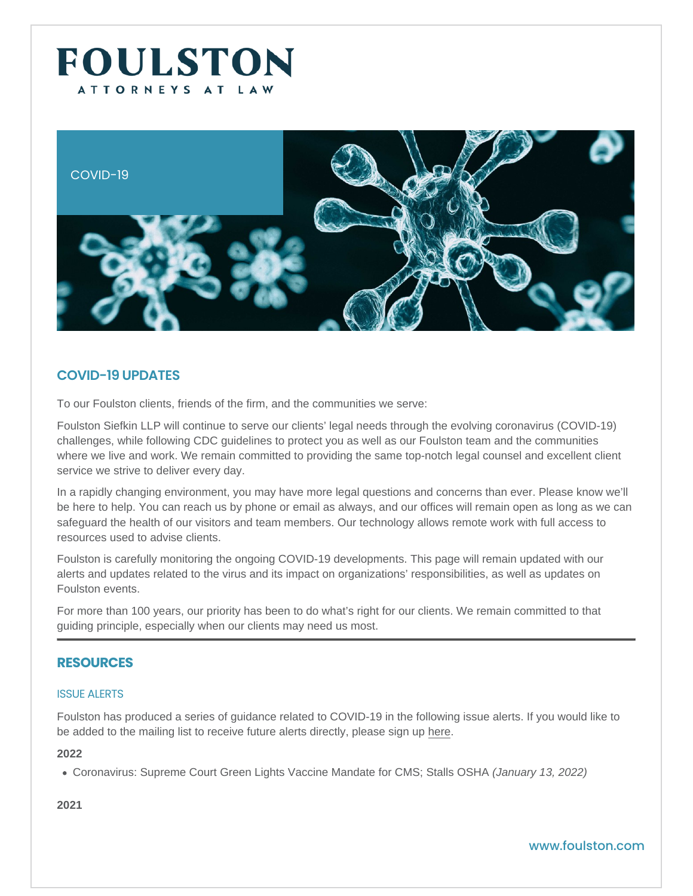### COVID-19

# COVID-19 UPDATES

To our Foulston clients, friends of the firm, and the communities we serve:

Foulston Siefkin LLP will continue to serve our clients' legal needs through the evolving coronavirus (COVID-19) challenges, while following CDC guidelines to protect you as well as our Foulston team and the communities where we live and work. We remain committed to providing the same top-notch legal counsel and excellent client service we strive to deliver every day.

In a rapidly changing environment, you may have more legal questions and concerns than ever. Please know we'll be here to help. You can reach us by phone or email as always, and our offices will remain open as long as we can safeguard the health of our visitors and team members. Our technology allows remote work with full access to resources used to advise clients.

Foulston is carefully monitoring the ongoing COVID-19 developments. This page will remain updated with our alerts and updates related to the virus and its impact on organizations' responsibilities, as well as updates on Foulston events.

For more than 100 years, our priority has been to do what's right for our clients. We remain committed to that guiding principle, especially when our clients may need us most.

# RESOURCES

### ISSUE ALERTS

Foulston has produced a series of guidance related to COVID-19 in the following issue alerts. If you would like to be added to the mailing list to receive future alerts directly, please sign up [here](https://visitor.r20.constantcontact.com/manage/optin/ea?v=001SP04mKN_dE4Seo_ZA2OxOA==).

2022

[Coronavirus: Supreme Court Green Lights Vaccine Mandate for CMS; Stalls OSHA](https://www.foulston.com/resources/supreme-court-green-lights-vaccine-mandate-for-cms-stalls-osha) (January 13, 2022)

2021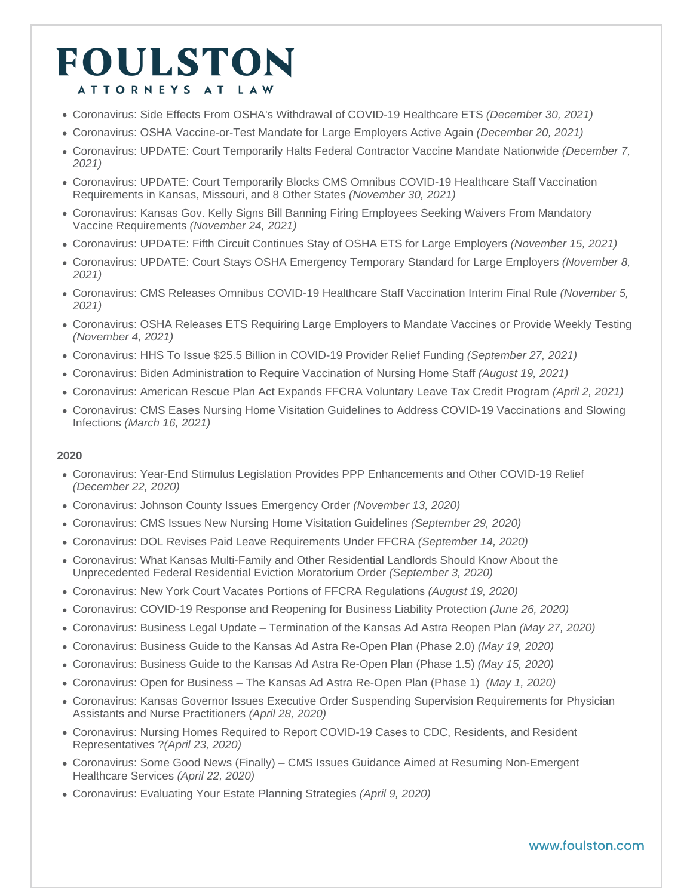- [Coronavirus: Side Effects From OSHA's Withdrawal of COVID-19 Healthcare ETS](https://www.foulston.com/resources/side-effects-from-oshas-withdrawal-of-covid-19-healthcare-ets) (December 30, 2021)
- [Coronavirus: OSHA Vaccine-or-Test Mandate for Large Employers Active Again](https://www.foulston.com/resources/osha-vaccine-or-test-mandate-for-large-employers-active-again) (December 20, 2021)
- [Coronavirus: UPDATE: Court Temporarily Halts Federal Contractor Vaccine Mandate Nationwide](https://www.foulston.com/resources/update-court-temporarily-halts-federal-contractor-vaccine-mandate-nationwide) (December 7, 2021)
- [Coronavirus: UPDATE: Court Temporarily Blocks CMS Omnibus COVID-19 Healthcare Staff Vaccination](https://www.foulston.com/resources/court-temporarily-blocks-cms-omnibus-covid-19-healthcare-staff-vaccination-requirements-in-kansas-missouri-and-8-other-states)  [Requirements in Kansas, Missouri, and 8 Other States](https://www.foulston.com/resources/court-temporarily-blocks-cms-omnibus-covid-19-healthcare-staff-vaccination-requirements-in-kansas-missouri-and-8-other-states) (November 30, 2021)
- [Coronavirus: Kansas Gov. Kelly Signs Bill Banning Firing Employees Seeking Waivers From Mandatory](https://www.foulston.com/resources/kansas-gov-kelly-signs-bill-banning-firing-employees-seeking-waivers-from-mandatory-vaccine-requirements)  [Vaccine Requirements](https://www.foulston.com/resources/kansas-gov-kelly-signs-bill-banning-firing-employees-seeking-waivers-from-mandatory-vaccine-requirements) (November 24, 2021)
- [Coronavirus: UPDATE: Fifth Circuit Continues Stay of OSHA ETS for Large Employers](https://www.foulston.com/resources/fifth-circuit-continues-stay-of-OSHA-ETS-for-large-employers) (November 15, 2021)
- [Coronavirus: UPDATE: Court Stays OSHA Emergency Temporary Standard for Large Employers](https://www.foulston.com/resources/court-stays-osha-emergency-temporary-standard-for-large-employers) (November 8, 2021)
- [Coronavirus: CMS Releases Omnibus COVID-19 Healthcare Staff Vaccination Interim Final Rule](https://www.foulston.com/resources/CMS-releases-omnibus-COVID-19-healthcare-staff-vaccination-interim-final-rule) (November 5, 2021)
- [Coronavirus: OSHA Releases ETS Requiring Large Employers to Mandate Vaccines or Provide Weekly Testing](https://www.foulston.com/resources/osha-releases-ets-requiring-large-employers-to-mandate-vaccines-or-provide-weekly-testing) (November 4, 2021)
- [Coronavirus: HHS To Issue \\$25.5 Billion in COVID-19 Provider Relief Funding](https://www.foulston.com/resources/coronavirus-invades-kansas-and-missouri-part-47) (September 27, 2021)
- [Coronavirus: Biden Administration to Require Vaccination of Nursing Home Staff](https://www.foulston.com/resources/coronavirus-invades-kansas-and-missouri-part-46) (August 19, 2021)
- [Coronavirus: American Rescue Plan Act Expands FFCRA Voluntary Leave Tax Credit Program](https://www.foulston.com/resources/coronavirus-invades-kansas-and-missouri-part-45) (April 2, 2021)
- [Coronavirus: CMS Eases Nursing Home Visitation Guidelines to Address COVID-19 Vaccinations and Slowing](https://www.foulston.com/resources/coronavirus-invades-kansas-and-missouri-part-44)  [Infections](https://www.foulston.com/resources/coronavirus-invades-kansas-and-missouri-part-44) (March 16, 2021)

#### 2020

- [Coronavirus: Year-End Stimulus Legislation Provides PPP Enhancements and Other COVID-19 Relief](https://www.foulston.com/resources/coronavirus-invades-kansas-and-missouri-part-43) (December 22, 2020)
- [Coronavirus: Johnson County Issues Emergency Order](https://www.foulston.com/resources/coronavirus-invades-kansas-and-missouri-part-42) (November 13, 2020)
- [Coronavirus: CMS Issues New Nursing Home Visitation Guidelines](https://www.foulston.com/resources/coronavirus-invades-kansas-and-missouri-part-41) (September 29, 2020)
- [Coronavirus: DOL Revises Paid Leave Requirements Under FFCRA](https://www.foulston.com/resources/coronavirus-invades-kansas-and-missouri-part-40) (September 14, 2020)
- [Coronavirus: What Kansas Multi-Family and Other Residential Landlords Should Know About the](https://www.foulston.com/resources/coronavirus-invades-kansas-and-missouri-part-39)  [Unprecedented Federal Residential Eviction Moratorium Order](https://www.foulston.com/resources/coronavirus-invades-kansas-and-missouri-part-39) (September 3, 2020)
- [Coronavirus: New York Court Vacates Portions of FFCRA Regulations](https://www.foulston.com/resources/coronavirus-invades-kansas-and-missouri-part-38) (August 19, 2020)
- [Coronavirus: COVID-19 Response and Reopening for Business Liability Protection](https://www.foulston.com/resources/coronavirus-invades-kansas-and-missouri-part-37) (June 26, 2020)
- [Coronavirus: Business Legal Update Termination of the Kansas Ad Astra Reopen Plan](https://www.foulston.com/resources/coronavirus-invades-kansas-and-missouri-part-36) (May 27, 2020)
- [Coronavirus: Business Guide to the Kansas Ad Astra Re-Open Plan \(Phase 2.0\)](https://www.foulston.com/resources/coronavirus-invades-kansas-and-missouri-part-35) (May 19, 2020)
- [Coronavirus: Business Guide to the Kansas Ad Astra Re-Open Plan \(Phase 1.5\)](https://www.foulston.com/resources/coronavirus-invades-kansas-and-missouri-part-34) (May 15, 2020)
- [Coronavirus: Open for Business The Kansas Ad Astra Re-Open Plan \(Phase 1\)](http://www.foulston.com/resources/coronavirus-invades-kansas-and-missouri-part-33) (May 1, 2020)
- [Coronavirus: Kansas Governor Issues Executive Order Suspending Supervision Requirements for Physician](https://www.foulston.com/resources/coronavirus-invades-kansas-and-missouri-part-32)  [Assistants and Nurse Practitioners](https://www.foulston.com/resources/coronavirus-invades-kansas-and-missouri-part-32) (April 28, 2020)
- [Coronavirus: Nursing Homes Required to Report COVID-19 Cases to CDC, Residents, and Resident](https://www.foulston.com/resources/coronavirus-invades-kansas-and-missouri-part-31)  [Representatives](https://www.foulston.com/resources/coronavirus-invades-kansas-and-missouri-part-31) ?(April 23, 2020)
- [Coronavirus: Some Good News \(Finally\) CMS Issues Guidance Aimed at Resuming Non-Emergent](https://www.foulston.com/resources/coronavirus-invades-kansas-and-missouri-part-30)  [Healthcare Services](https://www.foulston.com/resources/coronavirus-invades-kansas-and-missouri-part-30) (April 22, 2020)
- [Coronavirus: Evaluating Your Estate Planning Strategies](https://www.foulston.com/resources/coronavirus-invades-kansas-and-missouri-part-29) (April 9, 2020)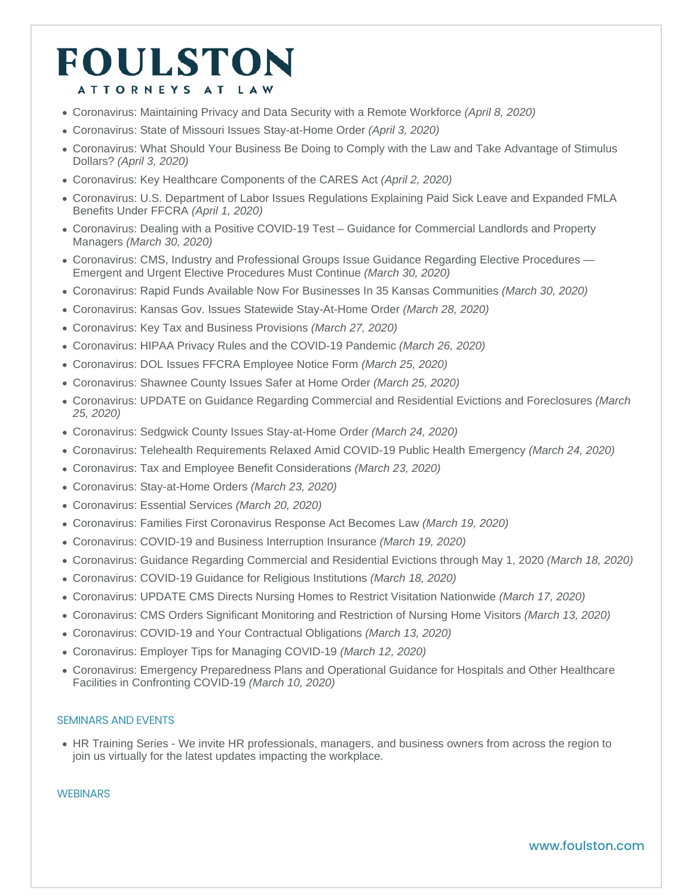- [Coronavirus: Maintaining Privacy and Data Security with a Remote Workforce](https://www.foulston.com/resources/coronavirus-invades-kansas-and-missouri-part-28) (April 8, 2020)
- [C](http://www.foulston.com/resources/coronavirus-invades-kansas-and-missouri-part-27)[oronavirus: State of Missouri Issues Stay-at-Home Order](https://www.foulston.com/resources/coronavirus-invades-kansas-and-missouri-part-27) (April 3, 2020)
- [Coronavirus: What Should Your Business Be Doing to Comply with the Law and Take Advantage of Stimulus](https://www.foulston.com/resources/coronavirus-invades-kansas-and-missouri-part-26)  [Dollars?](https://www.foulston.com/resources/coronavirus-invades-kansas-and-missouri-part-26) (April 3, 2020)
- [Coronavirus: Key Healthcare Components of the CARES Act](https://www.foulston.com/resources/coronavirus-invades-kansas-and-missouri-part-25) (April 2, 2020)
- [Coronavirus: U.S. Department of Labor Issues Regulations Explaining Paid Sick Leave and Expanded FMLA](https://www.foulston.com/resources/coronavirus-invades-kansas-and-missouri-part-24)  [Benefits Under FFCRA](https://www.foulston.com/resources/coronavirus-invades-kansas-and-missouri-part-24) (April 1, 2020)
- [Coronavirus: Dealing with a Positive COVID-19 Test Guidance for Commercial Landlords and Property](https://www.foulston.com/resources/coronavirus-invades-kansas-and-missouri-part-23)  [Managers](https://www.foulston.com/resources/coronavirus-invades-kansas-and-missouri-part-23) (March 30, 2020)
- [Coronavirus: CMS, Industry and Professional Groups Issue Guidance Regarding Elective Procedures](http://www.foulston.com/resources/coronavirus-invades-kansas-and-missouri-part-22)  [Emergent and Urgent Elective Procedures Must Continue \(](http://www.foulston.com/resources/coronavirus-invades-kansas-and-missouri-part-22)March 30, 2020)
- [Coronavirus: Rapid Funds Available Now For Businesses In 35 Kansas Communities](https://www.foulston.com/resources/coronavirus-invades-kansas-and-missouri-part-21) (March 30, 2020)
- [Coronavirus: Kansas Gov. Issues Statewide Stay-At-Home Order](https://www.foulston.com/resources/coronavirus-invades-kansas-and-missouri-part-20) (March 28, 2020)
- [Coronavirus: Key Tax and Business Provisions](https://www.foulston.com/resources/coronavirus-invades-kansas-and-missouri-part-19) (March 27, 2020)
- [Coronavirus: HIPAA Privacy Rules and the COVID-19 Pandemic](https://www.foulston.com/resources/coronavirus-invades-kansas-and-missouri-part-18) (March 26, 2020)
- [Coronavirus: DOL Issues FFCRA Employee Notice Form](https://www.foulston.com/resources/coronavirus-invades-kansas-and-missouri-part-17) (March 25, 2020)
- [Coronavirus: Shawnee County Issues Safer at Home Order](https://www.foulston.com/resources/coronavirus-invades-kansas-and-missouri-part-16) (March 25, 2020)
- [Coronavirus: UPDATE on Guidance Regarding Commercial and Residential Evictions and Foreclosures](https://www.foulston.com/resources/coronavirus-invades-kansas-and-missouri-part-15) (March 25, 2020)
- [Coronavirus: Sedgwick County Issues Stay-at-Home Order](https://www.foulston.com/resources/coronavirus-invades-kansas-and-missouri-part-14) (March 24, 2020)
- [Coronavirus: Telehealth Requirements Relaxed Amid COVID-19 Public Health Emergency](https://www.foulston.com/resources/coronavirus-invades-kansas-and-missouri-part-13) (March 24, 2020)
- [Coronavirus: Tax and Employee Benefit Considerations](https://www.foulston.com/resources/coronavirus-invades-kansas-and-missouri-part-12) (March 23, 2020)
- [Coronavirus: Stay-at-Home Orders](https://www.foulston.com/resources/coronavirus-invades-kansas-and-missouri-part-11) (March 23, 2020)
- [Coronavirus: Essential Services](https://www.foulston.com/resources/coronavirus-invades-kansas-and-missouri-part-10) (March 20, 2020)
- [Coronavirus: Families First Coronavirus Response Act Becomes Law](https://www.foulston.com/resources/coronavirus-invades-kansas-and-missouri-part-9) (March 19, 2020)
- [Coronavirus: COVID-19 and Business Interruption Insurance](https://www.foulston.com/resources/coronavirus-invades-kansas-and-missouri-part-8) (March 19, 2020)
- [Coronavirus: Guidance Regarding Commercial and Residential Evictions through May 1, 2020](https://www.foulston.com/resources/coronavirus-invades-kansas-and-missouri-part-7) (March 18, 2020)
- [Coronavirus: COVID-19 Guidance for Religious Institutions](https://www.foulston.com/resources/coronavirus-invades-kansas-and-missouri-part-6) (March 18, 2020)
- [Coronavirus: UPDATE CMS Directs Nursing Homes to Restrict Visitation Nationwide](https://www.foulston.com/resources/coronavirus-invades-kansas-and-missouri-part-5) (March 17, 2020)
- [Coronavirus: CMS Orders Significant Monitoring and Restriction of Nursing Home Visitors](https://www.foulston.com/resources/coronavirus-invades-kansas-and-missouri-part-4) (March 13, 2020)
- [Coronavirus: COVID-19 and Your Contractual Obligations](https://www.foulston.com/resources/coronavirus-invades-kansas-and-missouri-part-3) (March 13, 2020)
- [Coronavirus: Employer Tips for Managing COVID-19](https://www.foulston.com/resources/coronavirus-invades-kansas-and-missouri-part-2) (March 12, 2020)
- [Coronavirus: Emergency Preparedness Plans and Operational Guidance for Hospitals and Other Healthcare](https://www.foulston.com/resources/coronavirus-invades-kansas-and-missouri-part-1)  [Facilities in Confronting COVID-19](https://www.foulston.com/resources/coronavirus-invades-kansas-and-missouri-part-1) (March 10, 2020)

### SEMINARS AND EVENTS

[HR Training Series](https://www.foulston.com/resources/hr-training-series) - We invite HR professionals, managers, and business owners from across the region to join us virtually for the latest updates impacting the workplace.

### WEBINARS